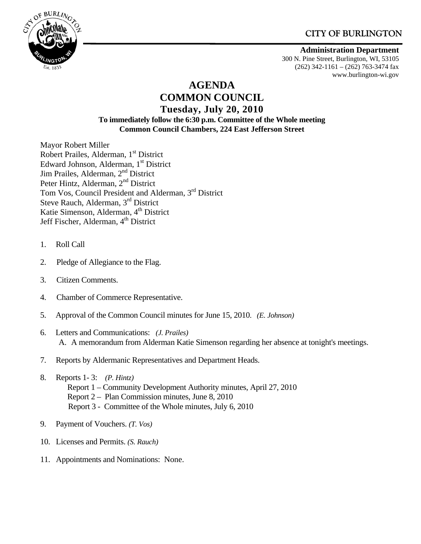## **CITY OF BURLINGTON**



### **Administration Department**

300 N. Pine Street, Burlington, WI, 53105 (262) 342-1161 – (262) 763-3474 fax www.burlington-wi.gov

# **AGENDA COMMON COUNCIL Tuesday, July 20, 2010 To immediately follow the 6:30 p.m. Committee of the Whole meeting Common Council Chambers, 224 East Jefferson Street**

Mayor Robert Miller Robert Prailes, Alderman, 1<sup>st</sup> District Edward Johnson, Alderman, 1<sup>st</sup> District Jim Prailes, Alderman, 2<sup>nd</sup> District Peter Hintz, Alderman, 2nd District Tom Vos, Council President and Alderman, 3rd District Steve Rauch, Alderman, 3<sup>rd</sup> District Katie Simenson, Alderman, 4<sup>th</sup> District Jeff Fischer, Alderman, 4<sup>th</sup> District

- 1. Roll Call
- 2. Pledge of Allegiance to the Flag.
- 3. Citizen Comments.
- 4. Chamber of Commerce Representative.
- 5. Approval of the Common Council minutes for June 15, 2010. *(E. Johnson)*
- 6. Letters and Communications: *(J. Prailes)* A. A memorandum from Alderman Katie Simenson regarding her absence at tonight's meetings.
- 7. Reports by Aldermanic Representatives and Department Heads.
- 8. Reports 1- 3: *(P. Hintz)*  Report 1 – Community Development Authority minutes, April 27, 2010 Report 2 – Plan Commission minutes, June 8, 2010 Report 3 - Committee of the Whole minutes, July 6, 2010
- 9. Payment of Vouchers. *(T. Vos)*
- 10. Licenses and Permits. *(S. Rauch)*
- 11. Appointments and Nominations:None.